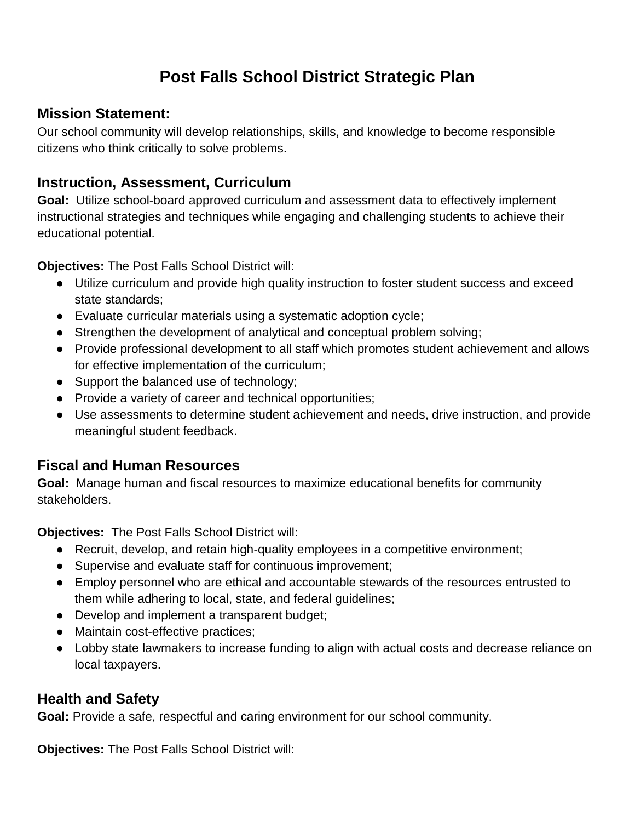# **Post Falls School District Strategic Plan**

#### **Mission Statement:**

Our school community will develop relationships, skills, and knowledge to become responsible citizens who think critically to solve problems.

### **Instruction, Assessment, Curriculum**

**Goal:** Utilize school-board approved curriculum and assessment data to effectively implement instructional strategies and techniques while engaging and challenging students to achieve their educational potential.

**Objectives:** The Post Falls School District will:

- Utilize curriculum and provide high quality instruction to foster student success and exceed state standards;
- Evaluate curricular materials using a systematic adoption cycle;
- Strengthen the development of analytical and conceptual problem solving;
- Provide professional development to all staff which promotes student achievement and allows for effective implementation of the curriculum;
- Support the balanced use of technology;
- Provide a variety of career and technical opportunities;
- Use assessments to determine student achievement and needs, drive instruction, and provide meaningful student feedback.

#### **Fiscal and Human Resources**

**Goal:** Manage human and fiscal resources to maximize educational benefits for community stakeholders.

**Objectives:** The Post Falls School District will:

- Recruit, develop, and retain high-quality employees in a competitive environment;
- Supervise and evaluate staff for continuous improvement;
- Employ personnel who are ethical and accountable stewards of the resources entrusted to them while adhering to local, state, and federal guidelines;
- Develop and implement a transparent budget;
- Maintain cost-effective practices;
- Lobby state lawmakers to increase funding to align with actual costs and decrease reliance on local taxpayers.

## **Health and Safety**

**Goal:** Provide a safe, respectful and caring environment for our school community.

**Objectives:** The Post Falls School District will: